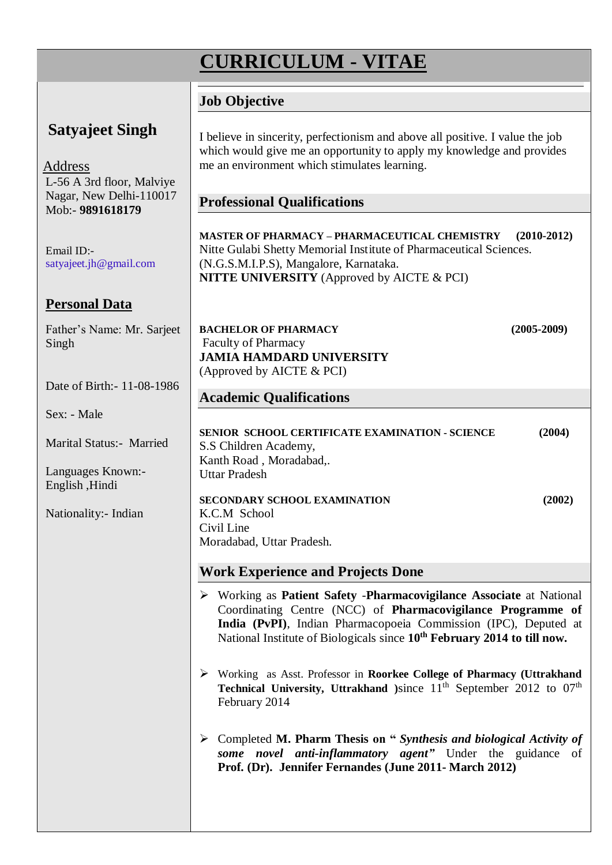# **CURRICULUM - VITAE**

## **Job Objective**

#### **Satyajeet Singh** Address L-56 A 3rd floor, Malviye Nagar, New Delhi-110017 Mob:- **9891618179** Email ID: satyajeet.jh@gmail.com **Personal Data** Father's Name: Mr. Sarjeet Singh Date of Birth:- 11-08-1986 Sex: - Male Marital Status:- Married Languages Known:- English ,Hindi Nationality:- Indian I believe in sincerity, perfectionism and above all positive. I value the job which would give me an opportunity to apply my knowledge and provides me an environment which stimulates learning. **Professional Qualifications MASTER OF PHARMACY – PHARMACEUTICAL CHEMISTRY (2010-2012)**  Nitte Gulabi Shetty Memorial Institute of Pharmaceutical Sciences. (N.G.S.M.I.P.S), Mangalore, Karnataka. **NITTE UNIVERSITY** (Approved by AICTE & PCI) **BACHELOR OF PHARMACY (2005-2009)** Faculty of Pharmacy **JAMIA HAMDARD UNIVERSITY** (Approved by AICTE & PCI) **Academic Qualifications SENIOR SCHOOL CERTIFICATE EXAMINATION - SCIENCE (2004)** S.S Children Academy, Kanth Road , Moradabad,. Uttar Pradesh **SECONDARY SCHOOL EXAMINATION (2002)** K.C.M School Civil Line Moradabad, Uttar Pradesh. **Work Experience and Projects Done** Working as **Patient Safety** -**Pharmacovigilance Associate** at National Coordinating Centre (NCC) of **Pharmacovigilance Programme of India (PvPI)**, Indian Pharmacopoeia Commission (IPC), Deputed at National Institute of Biologicals since **10th February 2014 to till now.** Working as Asst. Professor in **Roorkee College of Pharmacy (Uttrakhand Technical University, Uttrakhand** )since  $11<sup>th</sup>$  September 2012 to 07<sup>th</sup> February 2014 Completed **M. Pharm Thesis on "** *Synthesis and biological Activity of some novel anti-inflammatory agent"* Under the guidance of **Prof. (Dr). Jennifer Fernandes (June 2011- March 2012)**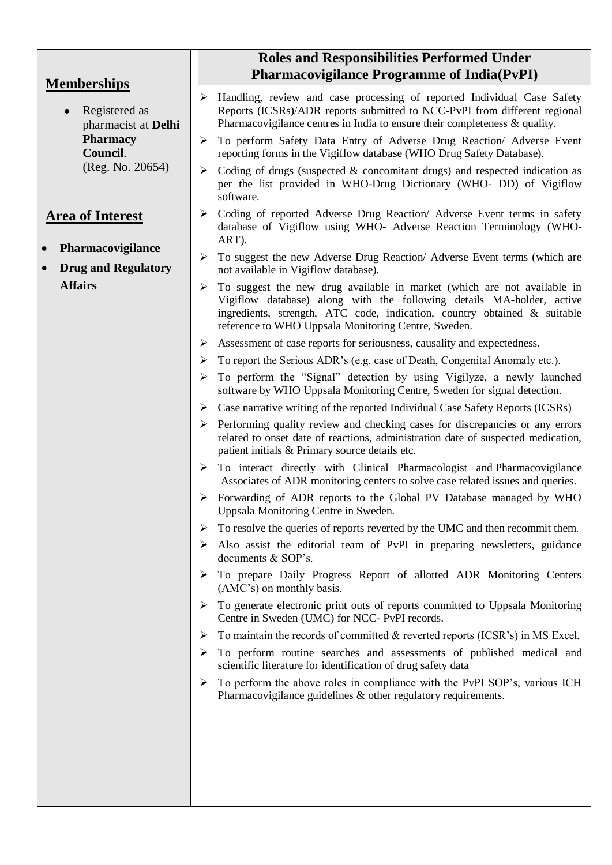|                                                            | <b>Roles and Responsibilities Performed Under</b><br><b>Pharmacovigilance Programme of India(PvPI)</b>                                                                                                                                                                                   |
|------------------------------------------------------------|------------------------------------------------------------------------------------------------------------------------------------------------------------------------------------------------------------------------------------------------------------------------------------------|
| <b>Memberships</b><br>Registered as<br>pharmacist at Delhi | $\triangleright$ Handling, review and case processing of reported Individual Case Safety<br>Reports (ICSRs)/ADR reports submitted to NCC-PvPI from different regional<br>Pharmacovigilance centres in India to ensure their completeness $\&$ quality.                                   |
| <b>Pharmacy</b><br>Council.                                | To perform Safety Data Entry of Adverse Drug Reaction/ Adverse Event<br>➤<br>reporting forms in the Vigiflow database (WHO Drug Safety Database).                                                                                                                                        |
| (Reg. No. 20654)                                           | Coding of drugs (suspected $\&$ concomitant drugs) and respected indication as<br>➤<br>per the list provided in WHO-Drug Dictionary (WHO- DD) of Vigiflow<br>software.                                                                                                                   |
| <b>Area of Interest</b>                                    | Coding of reported Adverse Drug Reaction/ Adverse Event terms in safety<br>➤<br>database of Vigiflow using WHO- Adverse Reaction Terminology (WHO-<br>ART).                                                                                                                              |
| Pharmacovigilance<br><b>Drug and Regulatory</b>            | To suggest the new Adverse Drug Reaction/ Adverse Event terms (which are<br>➤<br>not available in Vigiflow database).                                                                                                                                                                    |
| <b>Affairs</b>                                             | To suggest the new drug available in market (which are not available in<br>➤<br>Vigiflow database) along with the following details MA-holder, active<br>ingredients, strength, ATC code, indication, country obtained & suitable<br>reference to WHO Uppsala Monitoring Centre, Sweden. |
|                                                            | Assessment of case reports for seriousness, causality and expectedness.<br>➤                                                                                                                                                                                                             |
|                                                            | To report the Serious ADR's (e.g. case of Death, Congenital Anomaly etc.).<br>➤                                                                                                                                                                                                          |
|                                                            | To perform the "Signal" detection by using Vigilyze, a newly launched<br>➤<br>software by WHO Uppsala Monitoring Centre, Sweden for signal detection.                                                                                                                                    |
|                                                            | $\triangleright$ Case narrative writing of the reported Individual Case Safety Reports (ICSRs)                                                                                                                                                                                           |
|                                                            | Performing quality review and checking cases for discrepancies or any errors<br>➤<br>related to onset date of reactions, administration date of suspected medication,<br>patient initials & Primary source details etc.                                                                  |
|                                                            | > To interact directly with Clinical Pharmacologist and Pharmacovigilance<br>Associates of ADR monitoring centers to solve case related issues and queries.                                                                                                                              |
|                                                            | $\triangleright$ Forwarding of ADR reports to the Global PV Database managed by WHO<br>Uppsala Monitoring Centre in Sweden.                                                                                                                                                              |
|                                                            | To resolve the queries of reports reverted by the UMC and then recommit them.<br>➤                                                                                                                                                                                                       |
|                                                            | Also assist the editorial team of PvPI in preparing newsletters, guidance<br>➤<br>documents & SOP's.                                                                                                                                                                                     |
|                                                            | To prepare Daily Progress Report of allotted ADR Monitoring Centers<br>➤<br>(AMC's) on monthly basis.                                                                                                                                                                                    |
|                                                            | To generate electronic print outs of reports committed to Uppsala Monitoring<br>➤<br>Centre in Sweden (UMC) for NCC-PvPI records.                                                                                                                                                        |
|                                                            | To maintain the records of committed $\&$ reverted reports (ICSR's) in MS Excel.<br>➤                                                                                                                                                                                                    |
|                                                            | To perform routine searches and assessments of published medical and<br>➤<br>scientific literature for identification of drug safety data                                                                                                                                                |
|                                                            | To perform the above roles in compliance with the PvPI SOP's, various ICH<br>➤<br>Pharmacovigilance guidelines & other regulatory requirements.                                                                                                                                          |
|                                                            |                                                                                                                                                                                                                                                                                          |
|                                                            |                                                                                                                                                                                                                                                                                          |
|                                                            |                                                                                                                                                                                                                                                                                          |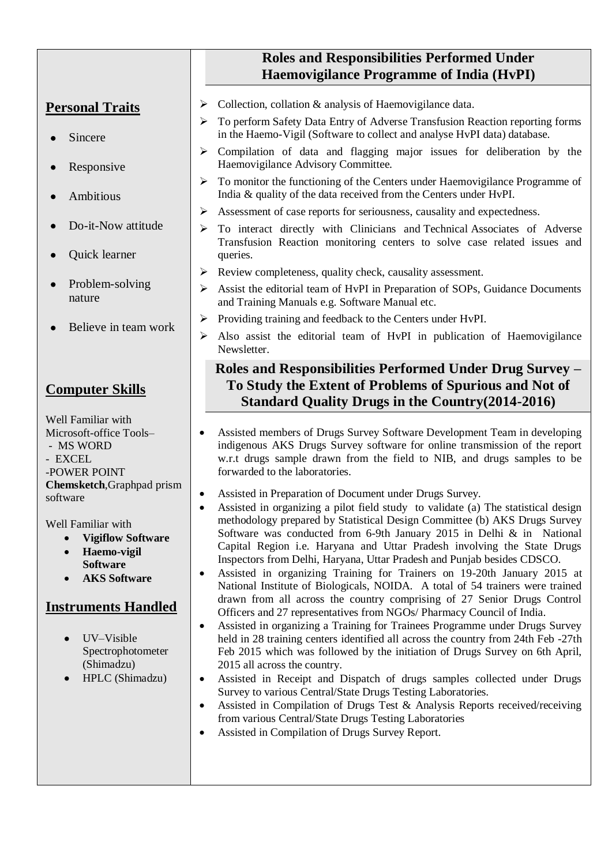# **Roles and Responsibilities Performed Under Haemovigilance Programme of India (HvPI)**

# **Personal Traits**

- Sincere
- Responsive
- Ambitious
- Do-it-Now attitude
- Quick learner
- Problem-solving nature
- Believe in team work

# **Computer Skills**

Well Familiar with Microsoft-office Tools– - MS WORD - EXCEL -POWER POINT **Chemsketch**,Graphpad prism software

Well Familiar with

- **Vigiflow Software**
- **Haemo-vigil Software**
- **AKS Software**

## **Instruments Handled**

- UV–Visible Spectrophotometer (Shimadzu)
- HPLC (Shimadzu)
- $\triangleright$  Collection, collation & analysis of Haemovigilance data.
- To perform Safety Data Entry of Adverse Transfusion Reaction reporting forms in the Haemo-Vigil (Software to collect and analyse HvPI data) database.
- $\triangleright$  Compilation of data and flagging major issues for deliberation by the Haemovigilance Advisory Committee.
- $\triangleright$  To monitor the functioning of the Centers under Haemovigilance Programme of India & quality of the data received from the Centers under HvPI.
- Assessment of case reports for seriousness, causality and expectedness.
- To interact directly with Clinicians and Technical Associates of Adverse Transfusion Reaction monitoring centers to solve case related issues and queries.
	- $\triangleright$  Review completeness, quality check, causality assessment.
	- Assist the editorial team of HvPI in Preparation of SOPs, Guidance Documents and Training Manuals e.g. Software Manual etc.
- Providing training and feedback to the Centers under HvPI.
- Also assist the editorial team of HvPI in publication of Haemovigilance Newsletter.

## **Roles and Responsibilities Performed Under Drug Survey – To Study the Extent of Problems of Spurious and Not of Standard Quality Drugs in the Country(2014-2016)**

- Assisted members of Drugs Survey Software Development Team in developing indigenous AKS Drugs Survey software for online transmission of the report w.r.t drugs sample drawn from the field to NIB, and drugs samples to be forwarded to the laboratories.
- Assisted in Preparation of Document under Drugs Survey.
- Assisted in organizing a pilot field study to validate (a) The statistical design methodology prepared by Statistical Design Committee (b) AKS Drugs Survey Software was conducted from 6-9th January 2015 in Delhi & in National Capital Region i.e. Haryana and Uttar Pradesh involving the State Drugs Inspectors from Delhi, Haryana, Uttar Pradesh and Punjab besides CDSCO.
- Assisted in organizing Training for Trainers on 19-20th January 2015 at National Institute of Biologicals, NOIDA. A total of 54 trainers were trained drawn from all across the country comprising of 27 Senior Drugs Control Officers and 27 representatives from NGOs/ Pharmacy Council of India.
- Assisted in organizing a Training for Trainees Programme under Drugs Survey held in 28 training centers identified all across the country from 24th Feb -27th Feb 2015 which was followed by the initiation of Drugs Survey on 6th April, 2015 all across the country.
- Assisted in Receipt and Dispatch of drugs samples collected under Drugs Survey to various Central/State Drugs Testing Laboratories.
- Assisted in Compilation of Drugs Test & Analysis Reports received/receiving from various Central/State Drugs Testing Laboratories
- Assisted in Compilation of Drugs Survey Report.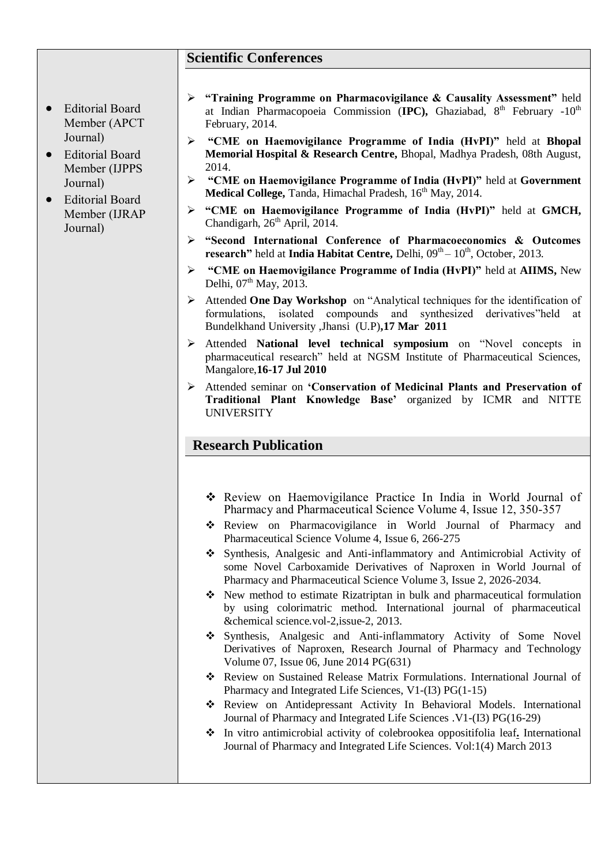#### **Scientific Conferences**

- Editorial Board Member (APCT Journal)
- Editorial Board Member (IJPPS Journal)
- Editorial Board Member (IJRAP Journal)
- **"Training Programme on Pharmacovigilance & Causality Assessment"** held at Indian Pharmacopoeia Commission (**IPC),** Ghaziabad, 8th February -10th February, 2014.
- **"CME on Haemovigilance Programme of India (HvPI)"** held at **Bhopal Memorial Hospital & Research Centre,** Bhopal, Madhya Pradesh, 08th August, 2014.
- **"CME on Haemovigilance Programme of India (HvPI)"** held at **Government Medical College, Tanda, Himachal Pradesh, 16<sup>th</sup> May, 2014.**
- **"CME on Haemovigilance Programme of India (HvPI)"** held at **GMCH,** Chandigarh, 26<sup>th</sup> April, 2014.
- **"Second International Conference of Pharmacoeconomics & Outcomes**  research" held at India Habitat Centre, Delhi, 09<sup>th</sup> – 10<sup>th</sup>, October, 2013.
- **"CME on Haemovigilance Programme of India (HvPI)"** held at **AIIMS,** New Delhi,  $07<sup>th</sup>$  May,  $2013$ .
- Attended **One Day Workshop** on "Analytical techniques for the identification of formulations, isolated compounds and synthesized derivatives"held Bundelkhand University ,Jhansi (U.P)**,17 Mar 2011**
- Attended **National level technical symposium** on "Novel concepts in pharmaceutical research" held at NGSM Institute of Pharmaceutical Sciences, Mangalore,**16-17 Jul 2010**
- Attended seminar on **'Conservation of Medicinal Plants and Preservation of Traditional Plant Knowledge Base'** organized by ICMR and NITTE **UNIVERSITY**

### **Research Publication**

- Review on Haemovigilance Practice In India in World Journal of Pharmacy and Pharmaceutical Science Volume 4, Issue 12, 350-357
- Review on Pharmacovigilance in World Journal of Pharmacy and Pharmaceutical Science Volume 4, Issue 6, 266-275
- Synthesis, Analgesic and Anti-inflammatory and Antimicrobial Activity of some Novel Carboxamide Derivatives of Naproxen in World Journal of Pharmacy and Pharmaceutical Science Volume 3, Issue 2, 2026-2034.
- New method to estimate Rizatriptan in bulk and pharmaceutical formulation by using colorimatric method. International journal of pharmaceutical &chemical science.vol-2,issue-2, 2013.
- Synthesis, Analgesic and Anti-inflammatory Activity of Some Novel Derivatives of Naproxen, Research Journal of Pharmacy and Technology Volume 07, Issue 06, June 2014 PG(631)
- [Review on Sustained Release Matrix Formulations.](http://media.wix.com/ugd/5ccba3_ca199cc2042a3609fd519b7c39da9f44.pdf) International Journal of Pharmacy and Integrated Life Sciences, V1-(I3) PG(1-15)
- [Review on Antidepressant Activity In Behavioral Models.](http://media.wix.com/ugd/5ccba3_29f53675ddbe8757942493658728e650.pdf) International Journal of Pharmacy and Integrated Life Sciences .V1-(I3) PG(16-29)
- In vitro antimicrobial activity of colebrookea oppositifolia leaf**.** International Journal of Pharmacy and Integrated Life Sciences. Vol:1(4) March 2013